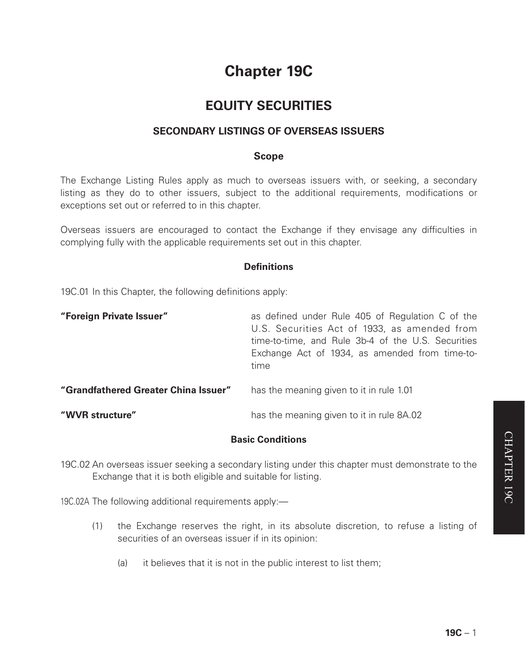# **Chapter 19C**

# **EQUITY SECURITIES**

# **SECONDARY LISTINGS OF OVERSEAS ISSUERS**

#### **Scope**

The Exchange Listing Rules apply as much to overseas issuers with, or seeking, a secondary listing as they do to other issuers, subject to the additional requirements, modifications or exceptions set out or referred to in this chapter.

Overseas issuers are encouraged to contact the Exchange if they envisage any difficulties in complying fully with the applicable requirements set out in this chapter.

# **Definitions**

19C.01 In this Chapter, the following definitions apply:

| "Foreign Private Issuer"             | as defined under Rule 405 of Regulation C of the<br>U.S. Securities Act of 1933, as amended from<br>time-to-time, and Rule 3b-4 of the U.S. Securities<br>Exchange Act of 1934, as amended from time-to-<br>time |
|--------------------------------------|------------------------------------------------------------------------------------------------------------------------------------------------------------------------------------------------------------------|
| "Grandfathered Greater China Issuer" | has the meaning given to it in rule 1.01                                                                                                                                                                         |
| "WVR structure"                      | has the meaning given to it in rule 8A.02                                                                                                                                                                        |

# **Basic Conditions**

19C.02 An overseas issuer seeking a secondary listing under this chapter must demonstrate to the Exchange that it is both eligible and suitable for listing.

19C.02A The following additional requirements apply:—

- (1) the Exchange reserves the right, in its absolute discretion, to refuse a listing of securities of an overseas issuer if in its opinion:
	- (a) it believes that it is not in the public interest to list them;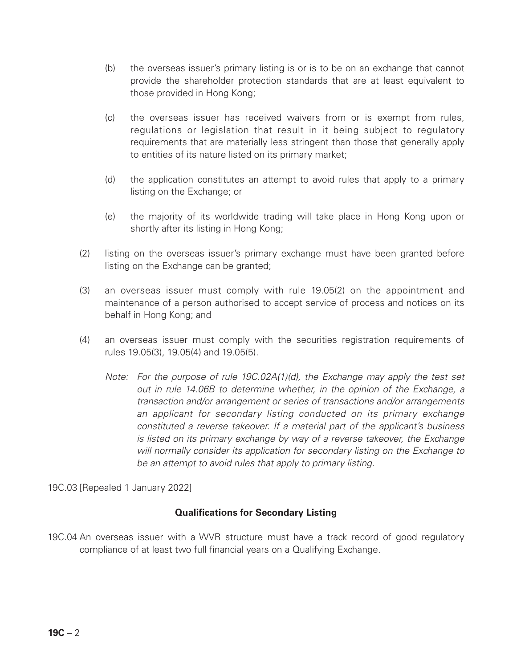- (b) the overseas issuer's primary listing is or is to be on an exchange that cannot provide the shareholder protection standards that are at least equivalent to those provided in Hong Kong;
- (c) the overseas issuer has received waivers from or is exempt from rules, regulations or legislation that result in it being subject to regulatory requirements that are materially less stringent than those that generally apply to entities of its nature listed on its primary market;
- (d) the application constitutes an attempt to avoid rules that apply to a primary listing on the Exchange; or
- (e) the majority of its worldwide trading will take place in Hong Kong upon or shortly after its listing in Hong Kong;
- (2) listing on the overseas issuer's primary exchange must have been granted before listing on the Exchange can be granted;
- (3) an overseas issuer must comply with rule 19.05(2) on the appointment and maintenance of a person authorised to accept service of process and notices on its behalf in Hong Kong; and
- (4) an overseas issuer must comply with the securities registration requirements of rules 19.05(3), 19.05(4) and 19.05(5).
	- *Note: For the purpose of rule 19C.02A(1)(d), the Exchange may apply the test set out in rule 14.06B to determine whether, in the opinion of the Exchange, a transaction and/or arrangement or series of transactions and/or arrangements an applicant for secondary listing conducted on its primary exchange constituted a reverse takeover. If a material part of the applicant's business is listed on its primary exchange by way of a reverse takeover, the Exchange will normally consider its application for secondary listing on the Exchange to be an attempt to avoid rules that apply to primary listing.*

19C.03 [Repealed 1 January 2022]

#### **Qualifications for Secondary Listing**

19C.04 An overseas issuer with a WVR structure must have a track record of good regulatory compliance of at least two full financial years on a Qualifying Exchange.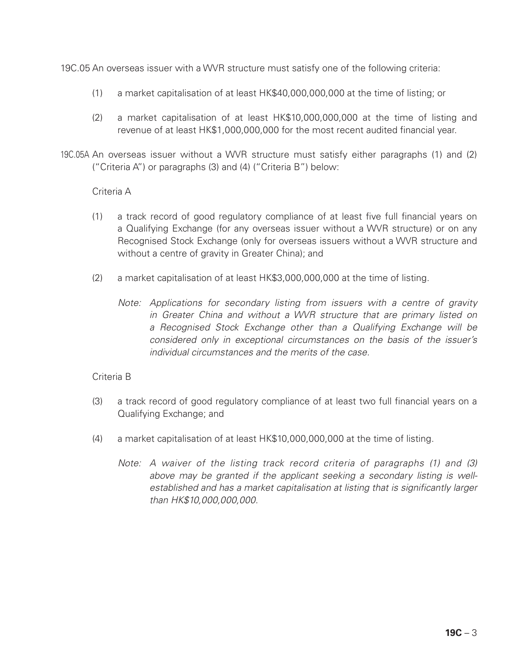19C.05 An overseas issuer with a WVR structure must satisfy one of the following criteria:

- (1) a market capitalisation of at least HK\$40,000,000,000 at the time of listing; or
- (2) a market capitalisation of at least HK\$10,000,000,000 at the time of listing and revenue of at least HK\$1,000,000,000 for the most recent audited financial year.
- 19C.05A An overseas issuer without a WVR structure must satisfy either paragraphs (1) and (2) ("Criteria A") or paragraphs (3) and (4) ("Criteria B") below:

#### Criteria A

- (1) a track record of good regulatory compliance of at least five full financial years on a Qualifying Exchange (for any overseas issuer without a WVR structure) or on any Recognised Stock Exchange (only for overseas issuers without a WVR structure and without a centre of gravity in Greater China); and
- (2) a market capitalisation of at least HK\$3,000,000,000 at the time of listing.
	- *Note: Applications for secondary listing from issuers with a centre of gravity in Greater China and without a WVR structure that are primary listed on a Recognised Stock Exchange other than a Qualifying Exchange will be considered only in exceptional circumstances on the basis of the issuer's individual circumstances and the merits of the case.*

#### Criteria B

- (3) a track record of good regulatory compliance of at least two full financial years on a Qualifying Exchange; and
- (4) a market capitalisation of at least HK\$10,000,000,000 at the time of listing.
	- *Note: A waiver of the listing track record criteria of paragraphs (1) and (3) above may be granted if the applicant seeking a secondary listing is wellestablished and has a market capitalisation at listing that is significantly larger than HK\$10,000,000,000.*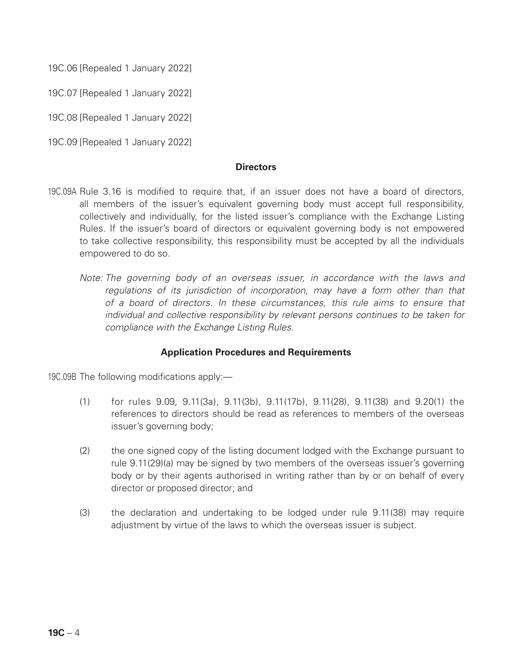19C.06 [Repealed 1 January 2022]

19C.07 [Repealed 1 January 2022]

19C.08 [Repealed 1 January 2022]

19C.09 [Repealed 1 January 2022]

#### **Directors**

- 19C.09A Rule 3.16 is modified to require that, if an issuer does not have a board of directors, all members of the issuer's equivalent governing body must accept full responsibility, collectively and individually, for the listed issuer's compliance with the Exchange Listing Rules. If the issuer's board of directors or equivalent governing body is not empowered to take collective responsibility, this responsibility must be accepted by all the individuals empowered to do so.
	- *Note: The governing body of an overseas issuer, in accordance with the laws and regulations of its jurisdiction of incorporation, may have a form other than that of a board of directors. In these circumstances, this rule aims to ensure that individual and collective responsibility by relevant persons continues to be taken for compliance with the Exchange Listing Rules.*

#### **Application Procedures and Requirements**

19C.09B The following modifications apply:—

- (1) for rules 9.09, 9.11(3a), 9.11(3b), 9.11(17b), 9.11(28), 9.11(38) and 9.20(1) the references to directors should be read as references to members of the overseas issuer's governing body;
- (2) the one signed copy of the listing document lodged with the Exchange pursuant to rule 9.11(29)(a) may be signed by two members of the overseas issuer's governing body or by their agents authorised in writing rather than by or on behalf of every director or proposed director; and
- (3) the declaration and undertaking to be lodged under rule 9.11(38) may require adjustment by virtue of the laws to which the overseas issuer is subject.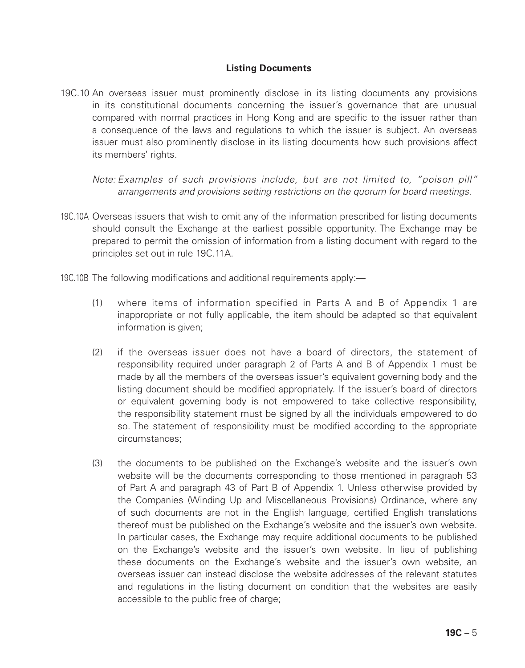# **Listing Documents**

19C.10 An overseas issuer must prominently disclose in its listing documents any provisions in its constitutional documents concerning the issuer's governance that are unusual compared with normal practices in Hong Kong and are specific to the issuer rather than a consequence of the laws and regulations to which the issuer is subject. An overseas issuer must also prominently disclose in its listing documents how such provisions affect its members' rights.

*Note: Examples of such provisions include, but are not limited to, "poison pill" arrangements and provisions setting restrictions on the quorum for board meetings.*

- 19C.10A Overseas issuers that wish to omit any of the information prescribed for listing documents should consult the Exchange at the earliest possible opportunity. The Exchange may be prepared to permit the omission of information from a listing document with regard to the principles set out in rule 19C.11A.
- 19C.10B The following modifications and additional requirements apply:—
	- (1) where items of information specified in Parts A and B of Appendix 1 are inappropriate or not fully applicable, the item should be adapted so that equivalent information is given:
	- (2) if the overseas issuer does not have a board of directors, the statement of responsibility required under paragraph 2 of Parts A and B of Appendix 1 must be made by all the members of the overseas issuer's equivalent governing body and the listing document should be modified appropriately. If the issuer's board of directors or equivalent governing body is not empowered to take collective responsibility, the responsibility statement must be signed by all the individuals empowered to do so. The statement of responsibility must be modified according to the appropriate circumstances;
	- (3) the documents to be published on the Exchange's website and the issuer's own website will be the documents corresponding to those mentioned in paragraph 53 of Part A and paragraph 43 of Part B of Appendix 1. Unless otherwise provided by the Companies (Winding Up and Miscellaneous Provisions) Ordinance, where any of such documents are not in the English language, certified English translations thereof must be published on the Exchange's website and the issuer's own website. In particular cases, the Exchange may require additional documents to be published on the Exchange's website and the issuer's own website. In lieu of publishing these documents on the Exchange's website and the issuer's own website, an overseas issuer can instead disclose the website addresses of the relevant statutes and regulations in the listing document on condition that the websites are easily accessible to the public free of charge;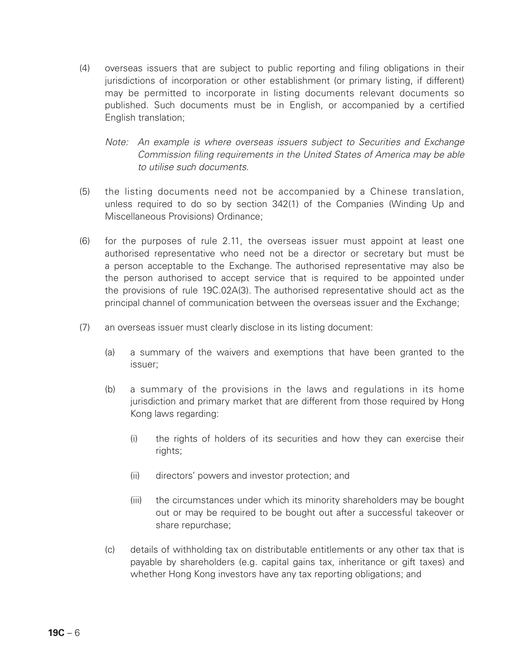- (4) overseas issuers that are subject to public reporting and filing obligations in their jurisdictions of incorporation or other establishment (or primary listing, if different) may be permitted to incorporate in listing documents relevant documents so published. Such documents must be in English, or accompanied by a certified English translation;
	- *Note:* An example is where overseas issuers subject to Securities and Exchange *Commission filing requirements in the United States of America may be able to utilise such documents.*
- (5) the listing documents need not be accompanied by a Chinese translation, unless required to do so by section 342(1) of the Companies (Winding Up and Miscellaneous Provisions) Ordinance;
- (6) for the purposes of rule 2.11, the overseas issuer must appoint at least one authorised representative who need not be a director or secretary but must be a person acceptable to the Exchange. The authorised representative may also be the person authorised to accept service that is required to be appointed under the provisions of rule 19C.02A(3). The authorised representative should act as the principal channel of communication between the overseas issuer and the Exchange;
- (7) an overseas issuer must clearly disclose in its listing document:
	- (a) a summary of the waivers and exemptions that have been granted to the issuer;
	- (b) a summary of the provisions in the laws and regulations in its home jurisdiction and primary market that are different from those required by Hong Kong laws regarding:
		- (i) the rights of holders of its securities and how they can exercise their rights;
		- (ii) directors' powers and investor protection; and
		- (iii) the circumstances under which its minority shareholders may be bought out or may be required to be bought out after a successful takeover or share repurchase;
	- (c) details of withholding tax on distributable entitlements or any other tax that is payable by shareholders (e.g. capital gains tax, inheritance or gift taxes) and whether Hong Kong investors have any tax reporting obligations; and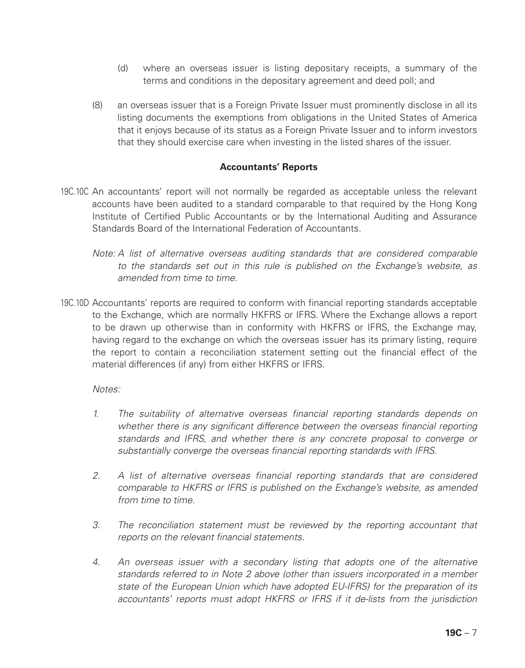- (d) where an overseas issuer is listing depositary receipts, a summary of the terms and conditions in the depositary agreement and deed poll; and
- (8) an overseas issuer that is a Foreign Private Issuer must prominently disclose in all its listing documents the exemptions from obligations in the United States of America that it enjoys because of its status as a Foreign Private Issuer and to inform investors that they should exercise care when investing in the listed shares of the issuer.

#### **Accountants' Reports**

- 19C.10C An accountants' report will not normally be regarded as acceptable unless the relevant accounts have been audited to a standard comparable to that required by the Hong Kong Institute of Certified Public Accountants or by the International Auditing and Assurance Standards Board of the International Federation of Accountants.
	- *Note: A list of alternative overseas auditing standards that are considered comparable to the standards set out in this rule is published on the Exchange's website, as amended from time to time.*
- 19C.10D Accountants' reports are required to conform with financial reporting standards acceptable to the Exchange, which are normally HKFRS or IFRS. Where the Exchange allows a report to be drawn up otherwise than in conformity with HKFRS or IFRS, the Exchange may, having regard to the exchange on which the overseas issuer has its primary listing, require the report to contain a reconciliation statement setting out the financial effect of the material differences (if any) from either HKFRS or IFRS.

#### *Notes:*

- *1. The suitability of alternative overseas financial reporting standards depends on*  whether there is any significant difference between the overseas financial reporting *standards and IFRS, and whether there is any concrete proposal to converge or substantially converge the overseas financial reporting standards with IFRS.*
- *2. A list of alternative overseas financial reporting standards that are considered comparable to HKFRS or IFRS is published on the Exchange's website, as amended from time to time.*
- *3. The reconciliation statement must be reviewed by the reporting accountant that reports on the relevant financial statements.*
- *4. An overseas issuer with a secondary listing that adopts one of the alternative standards referred to in Note 2 above (other than issuers incorporated in a member state of the European Union which have adopted EU-IFRS) for the preparation of its accountants' reports must adopt HKFRS or IFRS if it de-lists from the jurisdiction*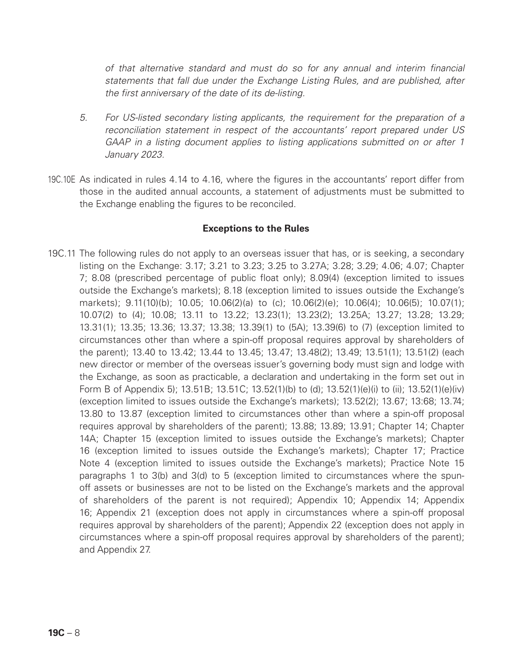*of that alternative standard and must do so for any annual and interim financial statements that fall due under the Exchange Listing Rules, and are published, after the first anniversary of the date of its de-listing.*

- *5. For US-listed secondary listing applicants, the requirement for the preparation of a reconciliation statement in respect of the accountants' report prepared under US GAAP in a listing document applies to listing applications submitted on or after 1 January 2023.*
- 19C.10E As indicated in rules 4.14 to 4.16, where the figures in the accountants' report differ from those in the audited annual accounts, a statement of adjustments must be submitted to the Exchange enabling the figures to be reconciled.

#### **Exceptions to the Rules**

19C.11 The following rules do not apply to an overseas issuer that has, or is seeking, a secondary listing on the Exchange: 3.17; 3.21 to 3.23; 3.25 to 3.27A; 3.28; 3.29; 4.06; 4.07; Chapter 7; 8.08 (prescribed percentage of public float only); 8.09(4) (exception limited to issues outside the Exchange's markets); 8.18 (exception limited to issues outside the Exchange's markets); 9.11(10)(b); 10.05; 10.06(2)(a) to (c); 10.06(2)(e); 10.06(4); 10.06(5); 10.07(1); 10.07(2) to (4); 10.08; 13.11 to 13.22; 13.23(1); 13.23(2); 13.25A; 13.27; 13.28; 13.29; 13.31(1); 13.35; 13.36; 13.37; 13.38; 13.39(1) to (5A); 13.39(6) to (7) (exception limited to circumstances other than where a spin-off proposal requires approval by shareholders of the parent); 13.40 to 13.42; 13.44 to 13.45; 13.47; 13.48(2); 13.49; 13.51(1); 13.51(2) (each new director or member of the overseas issuer's governing body must sign and lodge with the Exchange, as soon as practicable, a declaration and undertaking in the form set out in Form B of Appendix 5); 13.51B; 13.51C; 13.52(1)(b) to (d); 13.52(1)(e)(i) to (ii); 13.52(1)(e)(iv) (exception limited to issues outside the Exchange's markets); 13.52(2); 13.67; 13:68; 13.74; 13.80 to 13.87 (exception limited to circumstances other than where a spin-off proposal requires approval by shareholders of the parent); 13.88; 13.89; 13.91; Chapter 14; Chapter 14A; Chapter 15 (exception limited to issues outside the Exchange's markets); Chapter 16 (exception limited to issues outside the Exchange's markets); Chapter 17; Practice Note 4 (exception limited to issues outside the Exchange's markets); Practice Note 15 paragraphs 1 to 3(b) and 3(d) to 5 (exception limited to circumstances where the spunoff assets or businesses are not to be listed on the Exchange's markets and the approval of shareholders of the parent is not required); Appendix 10; Appendix 14; Appendix 16; Appendix 21 (exception does not apply in circumstances where a spin-off proposal requires approval by shareholders of the parent); Appendix 22 (exception does not apply in circumstances where a spin-off proposal requires approval by shareholders of the parent); and Appendix 27.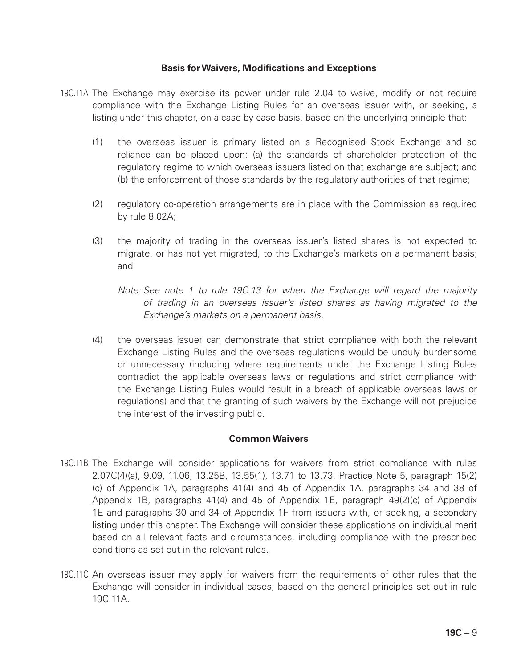#### **Basis for Waivers, Modifications and Exceptions**

- 19C.11A The Exchange may exercise its power under rule 2.04 to waive, modify or not require compliance with the Exchange Listing Rules for an overseas issuer with, or seeking, a listing under this chapter, on a case by case basis, based on the underlying principle that:
	- (1) the overseas issuer is primary listed on a Recognised Stock Exchange and so reliance can be placed upon: (a) the standards of shareholder protection of the regulatory regime to which overseas issuers listed on that exchange are subject; and (b) the enforcement of those standards by the regulatory authorities of that regime;
	- (2) regulatory co-operation arrangements are in place with the Commission as required by rule 8.02A;
	- (3) the majority of trading in the overseas issuer's listed shares is not expected to migrate, or has not yet migrated, to the Exchange's markets on a permanent basis; and
		- *Note: See note 1 to rule 19C.13 for when the Exchange will regard the majority of trading in an overseas issuer's listed shares as having migrated to the Exchange's markets on a permanent basis.*
	- (4) the overseas issuer can demonstrate that strict compliance with both the relevant Exchange Listing Rules and the overseas regulations would be unduly burdensome or unnecessary (including where requirements under the Exchange Listing Rules contradict the applicable overseas laws or regulations and strict compliance with the Exchange Listing Rules would result in a breach of applicable overseas laws or regulations) and that the granting of such waivers by the Exchange will not prejudice the interest of the investing public.

#### **Common Waivers**

- 19C.11B The Exchange will consider applications for waivers from strict compliance with rules 2.07C(4)(a), 9.09, 11.06, 13.25B, 13.55(1), 13.71 to 13.73, Practice Note 5, paragraph 15(2) (c) of Appendix 1A, paragraphs 41(4) and 45 of Appendix 1A, paragraphs 34 and 38 of Appendix 1B, paragraphs 41(4) and 45 of Appendix 1E, paragraph 49(2)(c) of Appendix 1E and paragraphs 30 and 34 of Appendix 1F from issuers with, or seeking, a secondary listing under this chapter. The Exchange will consider these applications on individual merit based on all relevant facts and circumstances, including compliance with the prescribed conditions as set out in the relevant rules.
- 19C.11C An overseas issuer may apply for waivers from the requirements of other rules that the Exchange will consider in individual cases, based on the general principles set out in rule 19C.11A.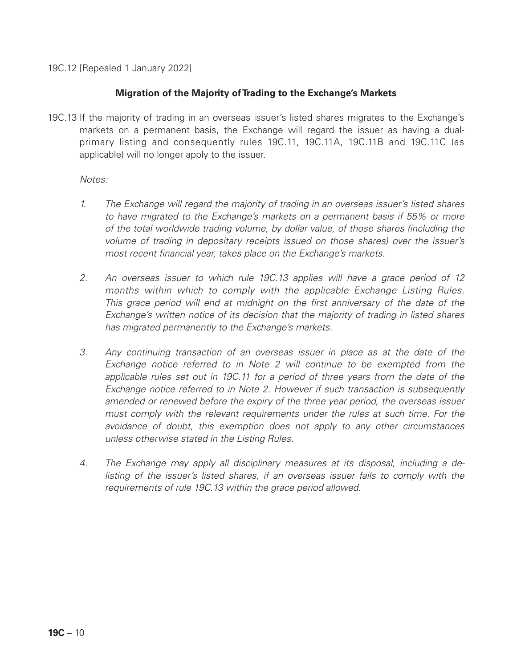19C.12 [Repealed 1 January 2022]

# **Migration of the Majority of Trading to the Exchange's Markets**

19C.13 If the majority of trading in an overseas issuer's listed shares migrates to the Exchange's markets on a permanent basis, the Exchange will regard the issuer as having a dualprimary listing and consequently rules 19C.11, 19C.11A, 19C.11B and 19C.11C (as applicable) will no longer apply to the issuer.

#### *Notes:*

- *1. The Exchange will regard the majority of trading in an overseas issuer's listed shares to have migrated to the Exchange's markets on a permanent basis if 55% or more of the total worldwide trading volume, by dollar value, of those shares (including the volume of trading in depositary receipts issued on those shares) over the issuer's most recent financial year, takes place on the Exchange's markets.*
- *2. An overseas issuer to which rule 19C.13 applies will have a grace period of 12 months within which to comply with the applicable Exchange Listing Rules. This grace period will end at midnight on the first anniversary of the date of the Exchange's written notice of its decision that the majority of trading in listed shares has migrated permanently to the Exchange's markets.*
- *3. Any continuing transaction of an overseas issuer in place as at the date of the Exchange notice referred to in Note 2 will continue to be exempted from the applicable rules set out in 19C.11 for a period of three years from the date of the Exchange notice referred to in Note 2. However if such transaction is subsequently amended or renewed before the expiry of the three year period, the overseas issuer*  must comply with the relevant requirements under the rules at such time. For the *avoidance of doubt, this exemption does not apply to any other circumstances unless otherwise stated in the Listing Rules.*
- *4. The Exchange may apply all disciplinary measures at its disposal, including a de*listing of the issuer's listed shares, if an overseas issuer fails to comply with the *requirements of rule 19C.13 within the grace period allowed.*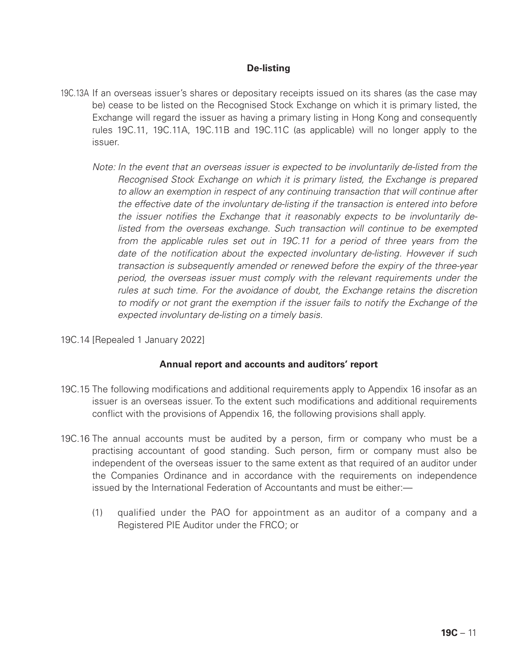# **De-listing**

- 19C.13A If an overseas issuer's shares or depositary receipts issued on its shares (as the case may be) cease to be listed on the Recognised Stock Exchange on which it is primary listed, the Exchange will regard the issuer as having a primary listing in Hong Kong and consequently rules 19C.11, 19C.11A, 19C.11B and 19C.11C (as applicable) will no longer apply to the issuer.
	- *Note: In the event that an overseas issuer is expected to be involuntarily de-listed from the Recognised Stock Exchange on which it is primary listed, the Exchange is prepared to allow an exemption in respect of any continuing transaction that will continue after the effective date of the involuntary de-listing if the transaction is entered into before the issuer notifies the Exchange that it reasonably expects to be involuntarily de*listed from the overseas exchange. Such transaction will continue to be exempted *from the applicable rules set out in 19C.11 for a period of three years from the date of the notification about the expected involuntary de-listing. However if such transaction is subsequently amended or renewed before the expiry of the three-year period, the overseas issuer must comply with the relevant requirements under the rules at such time. For the avoidance of doubt, the Exchange retains the discretion to modify or not grant the exemption if the issuer fails to notify the Exchange of the expected involuntary de-listing on a timely basis.*
- 19C.14 [Repealed 1 January 2022]

#### **Annual report and accounts and auditors' report**

- 19C.15 The following modifications and additional requirements apply to Appendix 16 insofar as an issuer is an overseas issuer. To the extent such modifications and additional requirements conflict with the provisions of Appendix 16, the following provisions shall apply.
- 19C.16 The annual accounts must be audited by a person, firm or company who must be a practising accountant of good standing. Such person, firm or company must also be independent of the overseas issuer to the same extent as that required of an auditor under the Companies Ordinance and in accordance with the requirements on independence issued by the International Federation of Accountants and must be either:—
	- (1) qualified under the PAO for appointment as an auditor of a company and a Registered PIE Auditor under the FRCO; or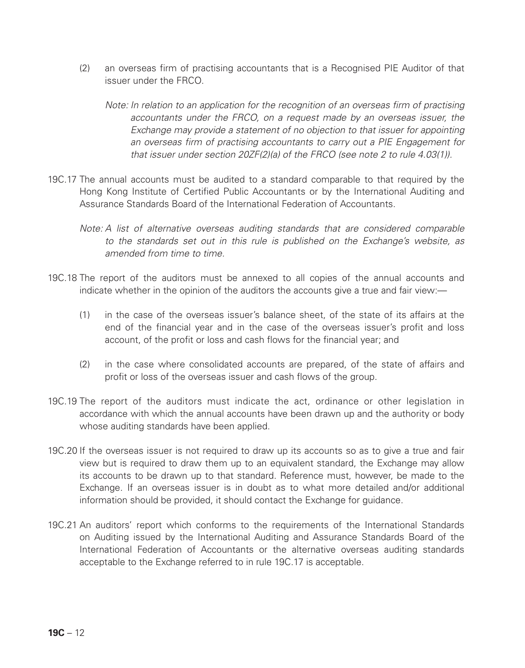(2) an overseas firm of practising accountants that is a Recognised PIE Auditor of that issuer under the FRCO.

*Note: In relation to an application for the recognition of an overseas firm of practising accountants under the FRCO, on a request made by an overseas issuer, the Exchange may provide a statement of no objection to that issuer for appointing an overseas firm of practising accountants to carry out a PIE Engagement for that issuer under section 20ZF(2)(a) of the FRCO (see note 2 to rule 4.03(1)).*

- 19C.17 The annual accounts must be audited to a standard comparable to that required by the Hong Kong Institute of Certified Public Accountants or by the International Auditing and Assurance Standards Board of the International Federation of Accountants.
	- *Note: A list of alternative overseas auditing standards that are considered comparable to the standards set out in this rule is published on the Exchange's website, as amended from time to time.*
- 19C.18 The report of the auditors must be annexed to all copies of the annual accounts and indicate whether in the opinion of the auditors the accounts give a true and fair view:—
	- (1) in the case of the overseas issuer's balance sheet, of the state of its affairs at the end of the financial year and in the case of the overseas issuer's profit and loss account, of the profit or loss and cash flows for the financial year; and
	- (2) in the case where consolidated accounts are prepared, of the state of affairs and profit or loss of the overseas issuer and cash flows of the group.
- 19C.19 The report of the auditors must indicate the act, ordinance or other legislation in accordance with which the annual accounts have been drawn up and the authority or body whose auditing standards have been applied.
- 19C.20 If the overseas issuer is not required to draw up its accounts so as to give a true and fair view but is required to draw them up to an equivalent standard, the Exchange may allow its accounts to be drawn up to that standard. Reference must, however, be made to the Exchange. If an overseas issuer is in doubt as to what more detailed and/or additional information should be provided, it should contact the Exchange for guidance.
- 19C.21 An auditors' report which conforms to the requirements of the International Standards on Auditing issued by the International Auditing and Assurance Standards Board of the International Federation of Accountants or the alternative overseas auditing standards acceptable to the Exchange referred to in rule 19C.17 is acceptable.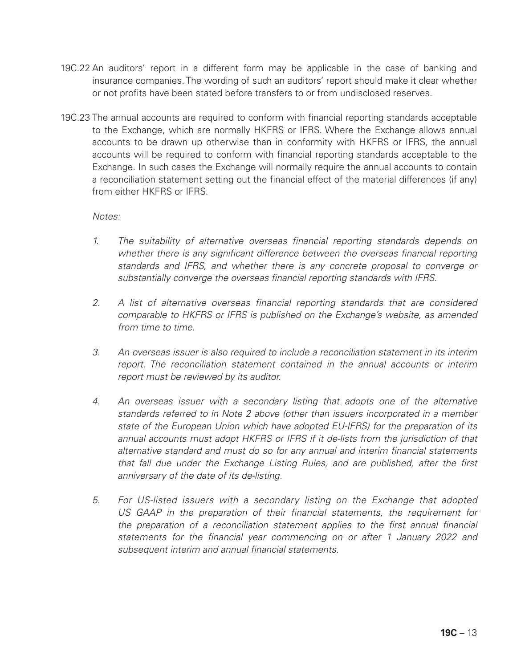- 19C.22 An auditors' report in a different form may be applicable in the case of banking and insurance companies. The wording of such an auditors' report should make it clear whether or not profits have been stated before transfers to or from undisclosed reserves.
- 19C.23 The annual accounts are required to conform with financial reporting standards acceptable to the Exchange, which are normally HKFRS or IFRS. Where the Exchange allows annual accounts to be drawn up otherwise than in conformity with HKFRS or IFRS, the annual accounts will be required to conform with financial reporting standards acceptable to the Exchange. In such cases the Exchange will normally require the annual accounts to contain a reconciliation statement setting out the financial effect of the material differences (if any) from either HKFRS or **IFRS**

*Notes:*

- *1. The suitability of alternative overseas financial reporting standards depends on*  whether there is any significant difference between the overseas financial reporting *standards and IFRS, and whether there is any concrete proposal to converge or substantially converge the overseas financial reporting standards with IFRS.*
- *2. A list of alternative overseas financial reporting standards that are considered comparable to HKFRS or IFRS is published on the Exchange's website, as amended from time to time.*
- *3. An overseas issuer is also required to include a reconciliation statement in its interim report. The reconciliation statement contained in the annual accounts or interim report must be reviewed by its auditor.*
- *4. An overseas issuer with a secondary listing that adopts one of the alternative standards referred to in Note 2 above (other than issuers incorporated in a member state of the European Union which have adopted EU-IFRS) for the preparation of its annual accounts must adopt HKFRS or IFRS if it de-lists from the jurisdiction of that alternative standard and must do so for any annual and interim financial statements that fall due under the Exchange Listing Rules, and are published, after the first anniversary of the date of its de-listing.*
- *5. For US-listed issuers with a secondary listing on the Exchange that adopted US GAAP in the preparation of their financial statements, the requirement for the preparation of a reconciliation statement applies to the first annual financial statements for the financial year commencing on or after 1 January 2022 and subsequent interim and annual financial statements.*